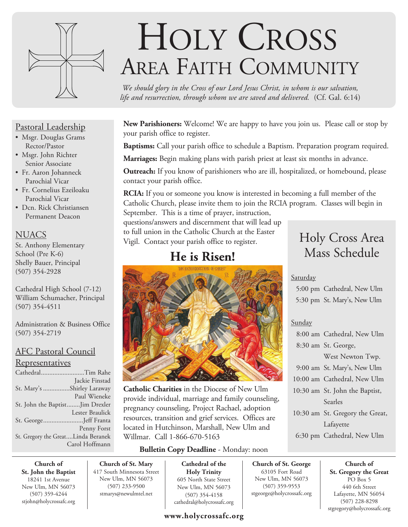

#### Pastoral Leadership

- Msgr. Douglas Grams Rector/Pastor
- Msgr. John Richter Senior Associate
- Fr. Aaron Johanneck Parochial Vicar
- Fr. Cornelius Ezeiloaku Parochial Vicar
- Dcn. Rick Christiansen Permanent Deacon

### **NUACS**

St. Anthony Elementary School (Pre K-6) Shelly Bauer, Principal (507) 354-2928

Cathedral High School (7-12) William Schumacher, Principal (507) 354-4511

Administration & Business Office (507) 354-2719

#### AFC Pastoral Council

#### Representatives

| CathedralTim Rahe                  |                 |
|------------------------------------|-----------------|
|                                    | Jackie Finstad  |
| St. Mary's Shirley Laraway         |                 |
|                                    | Paul Wieneke    |
| St. John the BaptistJim Drexler    |                 |
|                                    | Lester Braulick |
| St. GeorgeJeff Franta              |                 |
|                                    | Penny Forst     |
| St. Gregory the GreatLinda Beranek |                 |
|                                    | Carol Hoffmann  |

# HOLY CROSS AREA FAITH COMMUNITY

*We should glory in the Cross of our Lord Jesus Christ, in whom is our salvation, life and resurrection, through whom we are saved and delivered.* (Cf. Gal. 6:14)

**New Parishioners:** Welcome! We are happy to have you join us. Please call or stop by your parish office to register.

**Baptisms:** Call your parish office to schedule a Baptism. Preparation program required.

**Marriages:** Begin making plans with parish priest at least six months in advance.

**Outreach:** If you know of parishioners who are ill, hospitalized, or homebound, please contact your parish office.

**RCIA:** If you or someone you know is interested in becoming a full member of the Catholic Church, please invite them to join the RCIA program. Classes will begin in September. This is a time of prayer, instruction,

questions/answers and discernment that will lead up to full union in the Catholic Church at the Easter Vigil. Contact your parish office to register.

## **He is Risen!**



**Catholic Charities** in the Diocese of New Ulm provide individual, marriage and family counseling, pregnancy counseling, Project Rachael, adoption resources, transition and grief services. Offices are located in Hutchinson, Marshall, New Ulm and Willmar. Call 1-866-670-5163

#### **Bulletin Copy Deadline** - Monday: noon

**Church of St. John the Baptist** 18241 1st Avenue New Ulm, MN 56073 (507) 359-4244 stjohn@holycrossafc.org

**Church of St. Mary** 417 South Minnesota Street New Ulm, MN 56073 (507) 233-9500 stmarys@newulmtel.net

**Cathedral of the Holy Trinity** 605 North State Street New Ulm, MN 56073 (507) 354-4158 cathedral@holycrossafc.org

#### **www.holycrossafc.org**

## Holy Cross Area Mass Schedule

#### **Saturday**

 5:00 pm Cathedral, New Ulm 5:30 pm St. Mary's, New Ulm

#### Sunday

**Church of St. George** 63105 Fort Road New Ulm, MN 56073 (507) 359-9553 stgeorge@holycrossafc.org

| 8:00 am Cathedral, New Ulm      |
|---------------------------------|
| 8:30 am St. George,             |
| West Newton Twp.                |
| 9:00 am St. Mary's, New Ulm     |
| 10:00 am Cathedral, New Ulm     |
| 10:30 am St. John the Baptist,  |
| Searles                         |
| 10:30 am St. Gregory the Great, |
| Lafayette                       |
| 6:30 pm Cathedral, New Ulm      |

**Church of St. Gregory the Great**  PO Box 5 440 6th Street Lafayette, MN 56054 (507) 228-8298 stgregory@holycrossafc.org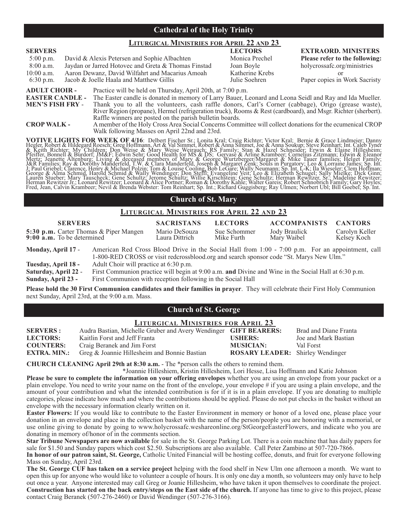#### **Cathedral of the Holy Trinity**

#### **LITURGICAL MINISTRIES FOR APRIL 22 AND 23**

| <b>SERVERS</b>                                                                                                                    |                                                                                                                                |                                                          | <b>LECTORS</b>  | <b>EXTRAORD. MINISTERS</b>     |
|-----------------------------------------------------------------------------------------------------------------------------------|--------------------------------------------------------------------------------------------------------------------------------|----------------------------------------------------------|-----------------|--------------------------------|
| $5:00$ p.m.                                                                                                                       | David & Alexis Petersen and Sophie Albachten                                                                                   |                                                          | Monica Prechel  | Please refer to the following: |
| $8:00$ a.m.                                                                                                                       |                                                                                                                                | Jaydan or Jarred Hotovec and Greta & Thomas Finstad      | Joan Boyle      | holycrossafc.org/ministries    |
| $10:00$ a.m.                                                                                                                      |                                                                                                                                | Aaron Dewanz, David Wilfahrt and Macarius Amoah          | Katherine Krebs |                                |
| $6:30$ p.m.                                                                                                                       |                                                                                                                                | Jacob & Joelle Haala and Matthew Gillis                  | Julie Soehren   | Paper copies in Work Sacristy  |
| <b>ADULT CHOIR -</b><br>Practice will be held on Thursday, April 20th, at 7:00 p.m.                                               |                                                                                                                                |                                                          |                 |                                |
| <b>EASTER CANDLE -</b><br>The Easter candle is donated in memory of Larry Bauer, Leonard and Leona Seidl and Ray and Ida Mueller. |                                                                                                                                |                                                          |                 |                                |
|                                                                                                                                   | <b>MEN'S FISH FRY -</b><br>Thank you to all the volunteers, cash raffle donors, Carl's Corner (cabbage), Origo (grease waste), |                                                          |                 |                                |
|                                                                                                                                   | River Region (propane), Hermel (refrigeration truck), Rooms & Rest (cardboard), and Msgr. Richter (sherbert).                  |                                                          |                 |                                |
|                                                                                                                                   |                                                                                                                                | Raffle winners are posted on the parish bulletin boards. |                 |                                |

**CROP WALK -** A member of the Holy Cross Area Social Concerns Committee will collect donations for the ecumenical CROP Walk following Masses on April 22nd and 23rd.

VOTIVE LIGHTS FOR WEEK OF 4/16: Delbert Fischer Sr.; Lonita Kral; Craig Richter; Victor Kral; Bernie & Grace Lindmeier; Danny Hegler, Robert & Hinggard Rossch; Greg Hoffmann, Art & Val Simmet, Robert & Anna Soukup; Steve R

#### **Church of St. Mary**

#### **LITURGICAL MINISTRIES FOR APRIL 22 AND 23**

| <b>SERVERS</b>                                                                                                                                                                                                    |                                                                                                      | <b>SACRISTANS</b>               | <b>LECTORS</b>             | <b>ACCOMPANISTS</b>          | <b>CANTORS</b>                |
|-------------------------------------------------------------------------------------------------------------------------------------------------------------------------------------------------------------------|------------------------------------------------------------------------------------------------------|---------------------------------|----------------------------|------------------------------|-------------------------------|
| 5:30 p.m. Carter Thomas & Piper Mangen<br>9:00 a.m. To be determined                                                                                                                                              |                                                                                                      | Mario DeSouza<br>Laura Dittrich | Sue Schommer<br>Mike Furth | Jody Braulick<br>Mary Waibel | Carolyn Keller<br>Kelsey Koch |
| American Red Cross Blood Drive in the Social Hall from 1:00 - 7:00 p.m. For an appointment, call<br>Monday, April 17 -<br>1-800-RED CROSS or visit redcrossblood.org and search sponsor code "St. Marys New Ulm." |                                                                                                      |                                 |                            |                              |                               |
| Tuesday, April 18 -                                                                                                                                                                                               | Adult Choir will practice at 6:30 p.m.                                                               |                                 |                            |                              |                               |
| Saturday, April 22 -                                                                                                                                                                                              | First Communion practice will begin at 9:00 a.m. and Divine and Wine in the Social Hall at 6:30 p.m. |                                 |                            |                              |                               |
| Sunday, April 23 -                                                                                                                                                                                                | First Communion with reception following in the Social Hall                                          |                                 |                            |                              |                               |

**Please hold the 30 First Communion candidates and their families in prayer**. They will celebrate their First Holy Communion next Sunday, April 23rd, at the 9:00 a.m. Mass.

#### **Church of St. George**

| <b>LITURGICAL MINISTRIES FOR APRIL 23</b> |                                                                  |                                         |                       |  |
|-------------------------------------------|------------------------------------------------------------------|-----------------------------------------|-----------------------|--|
| <b>SERVERS:</b>                           | Audra Bastian, Michelle Gruber and Avery Wendinger GIFT BEARERS: |                                         | Brad and Diane Franta |  |
| <b>LECTORS:</b>                           | Kaitlin Forst and Jeff Franta                                    | <b>USHERS:</b>                          | Joe and Mark Bastian  |  |
| <b>COUNTERS:</b>                          | Craig Beranek and Jim Forst                                      | <b>MUSICIAN:</b>                        | Val Forst             |  |
| <b>EXTRA. MIN.:</b>                       | Greg & Joannie Hillesheim and Bonnie Bastian                     | <b>ROSARY LEADER:</b> Shirley Wendinger |                       |  |
|                                           |                                                                  |                                         |                       |  |

**CHURCH CLEANING April 29th at 8:30 a.m.** - The \*person calls the others to remind them.

\*Joannie Hilleshiem, Kristin Hillesheim, Lori Hesse, Lisa Hoffmann and Katie Johnson **Please be sure to complete the information on your offering envelopes** whether you are using an envelope from your packet or a plain envelope. You need to write your name on the front of the envelope, your envelope # if you are using a plain envelope, and the amount of your contribution and what the intended contribution is for if it is in a plain envelope. If you are donating to multiple categories, please indicate how much and where the contributions should be applied. Please do not put checks in the basket without an envelope with the necessary information clearly written on it.

**Easter Flowers:** If you would like to contribute to the Easter Environment in memory or honor of a loved one, please place your donation in an envelope and place in the collection basket with the name of the person/people you are honoring with a memorial, or use online giving to donate by going to www.holycrossafc.weshareonline.org/StGeorgeEasterFlowers, and indicate who you are donating in memory of/honor of in the comments section.

**Star Tribune Newspapers are now available** for sale in the St. George Parking Lot. There is a coin machine that has daily papers for sale for \$1.50 and Sunday papers which cost \$2.50. Subscriptions are also available. Call Peter Zambino at 507-720-7866.

**In honor of our patron saint, St. George,** Catholic United Financial will be hosting coffee, donuts, and fruit for everyone following Mass on Sunday, April 23rd.

**The St. George CUF has taken on a service project** helping with the food shelf in New Ulm one afternoon a month. We want to open this up for anyone who would like to volunteer a couple of hours. It is only one day a month, so volunteers may only have to help out once a year. Anyone interested may call Greg or Joanie Hillesheim, who have taken it upon themselves to coordinate the project. **Construction has started on the back entry/steps on the East side of the church.** If anyone has time to give to this project, please contact Craig Beranek (507-276-2460) or David Wendinger (507-276-3166).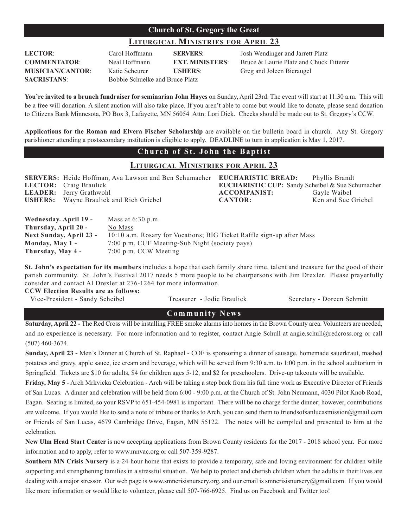#### **Church of St. Gregory the Great**

#### **LITURGICAL MINISTRIES FOR APRIL 23**

| <b>LECTOR:</b>          |
|-------------------------|
| <b>COMMENTATOR:</b>     |
| <b>MUSICIAN/CANTOR:</b> |
| <b>SACRISTANS:</b>      |

**SACRISTANS**: Bobbie Schuelke and Bruce Platz

Katie Scheurer **USHERS**: Greg and Joleen Bieraugel

Carol Hoffmann **SERVERS**: Josh Wendinger and Jarrett Platz **COMMENTATION FINISTERS:** Bruce & Laurie Platz and Chuck Fitterer

**You're invited to a brunch fundraiser for seminarian John Hayes** on Sunday, April 23rd. The event will start at 11:30 a.m. This will be a free will donation. A silent auction will also take place. If you aren't able to come but would like to donate, please send donation to Citizens Bank Minnesota, PO Box 3, Lafayette, MN 56054 Attn: Lori Dick. Checks should be made out to St. Gregory's CCW.

**Applications for the Roman and Elvera Fischer Scholarship** are available on the bulletin board in church. Any St. Gregory parishioner attending a postsecondary institution is eligible to apply. DEADLINE to turn in application is May 1, 2017.

#### **Church of St. John the Baptist**

#### **LITURGICAL MINISTRIES FOR APRIL 23**

| <b>SERVERS:</b> Heide Hoffman, Ava Lawson and Ben Schumacher <b>EUCHARISTIC BREAD:</b> |                     | Phyllis Brandt                                          |
|----------------------------------------------------------------------------------------|---------------------|---------------------------------------------------------|
| <b>LECTOR:</b> Craig Braulick                                                          |                     | <b>EUCHARISTIC CUP:</b> Sandy Scheibel & Sue Schumacher |
| <b>LEADER:</b> Jerry Grathwohl                                                         | <b>ACCOMPANIST:</b> | Gayle Waibel                                            |
| <b>USHERS:</b> Wayne Braulick and Rich Griebel                                         | <b>CANTOR:</b>      | Ken and Sue Griebel                                     |
|                                                                                        |                     |                                                         |
|                                                                                        |                     |                                                         |

| Wednesday. April 19 -   | Mass at $6:30$ p.m.                                                   |
|-------------------------|-----------------------------------------------------------------------|
| Thursday, April 20 -    | No Mass                                                               |
| Next Sunday, April 23 - | 10:10 a.m. Rosary for Vocations; BIG Ticket Raffle sign-up after Mass |
| Monday, May 1 -         | 7:00 p.m. CUF Meeting-Sub Night (society pays)                        |
| Thursday, May 4 -       | 7:00 p.m. CCW Meeting                                                 |

**St. John's expectation for its members** includes a hope that each family share time, talent and treasure for the good of their parish community. St. John's Festival 2017 needs 5 more people to be chairpersons with Jim Drexler. Please prayerfully consider and contact Al Drexler at 276-1264 for more information.

**CCW Election Results are as follows:**

Vice-President - Sandy Scheibel Treasurer - Jodie Braulick Secretary - Doreen Schmitt

#### **Community News**

**Saturday, April 22 -** The Red Cross will be installing FREE smoke alarms into homes in the Brown County area. Volunteers are needed, and no experience is necessary. For more information and to register, contact Angie Schull at angie.schull@redcross.org or call (507) 460-3674.

**Sunday, April 23 -** Men's Dinner at Church of St. Raphael - COF is sponsoring a dinner of sausage, homemade sauerkraut, mashed potatoes and gravy, apple sauce, ice cream and beverage, which will be served from 9:30 a.m. to 1:00 p.m. in the school auditorium in Springfield. Tickets are \$10 for adults, \$4 for children ages 5-12, and \$2 for preschoolers. Drive-up takeouts will be available.

**Friday, May 5** - Arch Mrkvicka Celebration - Arch will be taking a step back from his full time work as Executive Director of Friends of San Lucas. A dinner and celebration will be held from 6:00 - 9:00 p.m. at the Church of St. John Neumann, 4030 Pilot Knob Road, Eagan. Seating is limited, so your RSVP to 651-454-0981 is important. There will be no charge for the dinner; however, contributions are welcome. If you would like to send a note of tribute or thanks to Arch, you can send them to friendsofsanlucasmission@gmail.com or Friends of San Lucas, 4679 Cambridge Drive, Eagan, MN 55122. The notes will be compiled and presented to him at the celebration.

**New Ulm Head Start Center** is now accepting applications from Brown County residents for the 2017 - 2018 school year. For more information and to apply, refer to www.mnvac.org or call 507-359-9287.

**Southern MN Crisis Nursery** is a 24-hour home that exists to provide a temporary, safe and loving environment for children while supporting and strengthening families in a stressful situation. We help to protect and cherish children when the adults in their lives are dealing with a major stressor. Our web page is www.smncrisisnursery.org, and our email is smncrisisnursery@gmail.com. If you would like more information or would like to volunteer, please call 507-766-6925. Find us on Facebook and Twitter too!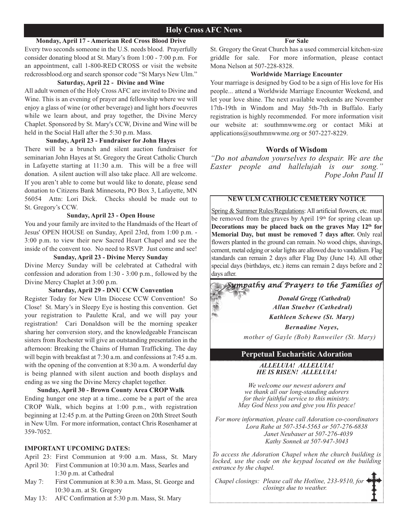#### **Monday, April 17 - American Red Cross Blood Drive**

Every two seconds someone in the U.S. needs blood. Prayerfully consider donating blood at St. Mary's from 1:00 - 7:00 p.m. For an appointment, call 1-800-RED CROSS or visit the website redcrossblood.org and search sponsor code "St Marys New Ulm."

#### **Saturday, April 22 - Divine and Wine**

All adult women of the Holy Cross AFC are invited to Divine and Wine. This is an evening of prayer and fellowship where we will enjoy a glass of wine (or other beverage) and light hors d'oeuvres while we learn about, and pray together, the Divine Mercy Chaplet. Sponsored by St. Mary's CCW, Divine and Wine will be held in the Social Hall after the 5:30 p.m. Mass.

#### **Sunday, April 23 - Fundraiser for John Hayes**

There will be a brunch and silent auction fundraiser for seminarian John Hayes at St. Gregory the Great Catholic Church in Lafayette starting at 11:30 a.m. This will be a free will donation. A silent auction will also take place. All are welcome. If you aren't able to come but would like to donate, please send donation to Citizens Bank Minnesota, PO Box 3, Lafayette, MN 56054 Attn: Lori Dick. Checks should be made out to St. Gregory's CCW.

#### **Sunday, April 23 - Open House**

You and your family are invited to the Handmaids of the Heart of Jesus' OPEN HOUSE on Sunday, April 23rd, from 1:00 p.m. - 3:00 p.m. to view their new Sacred Heart Chapel and see the inside of the convent too. No need to RSVP. Just come and see!

#### **Sunday, April 23 - Divine Mercy Sunday**

Divine Mercy Sunday will be celebrated at Cathedral with confession and adoration from 1:30 - 3:00 p.m., followed by the Divine Mercy Chaplet at 3:00 p.m.

#### **Saturday, April 29 - DNU CCW Convention**

Register Today for New Ulm Diocese CCW Convention! So Close! St. Mary's in Sleepy Eye is hosting this convention. Get your registration to Paulette Kral, and we will pay your registration! Cari Donaldson will be the morning speaker sharing her conversion story, and the knowledgeable Franciscan sisters from Rochester will give an outstanding presentation in the afternoon: Breaking the Chains of Human Trafficking. The day will begin with breakfast at 7:30 a.m. and confessions at 7:45 a.m. with the opening of the convention at 8:30 a.m. A wonderful day is being planned with silent auction and booth displays and ending as we sing the Divine Mercy chaplet together.

#### **Sunday, April 30 - Brown County Area CROP Walk**

Ending hunger one step at a time...come be a part of the area CROP Walk, which begins at 1:00 p.m., with registration beginning at 12:45 p.m. at the Putting Green on 20th Street South in New Ulm. For more information, contact Chris Rosenhamer at 359-7052.

#### **IMPORTANT UPCOMING DATES:**

April 23: First Communion at 9:00 a.m. Mass, St. Mary

- April 30: First Communion at 10:30 a.m. Mass, Searles and 1:30 p.m. at Cathedral
- May 7: First Communion at 8:30 a.m. Mass, St. George and 10:30 a.m. at St. Gregory
- May 13: AFC Confirmation at 5:30 p.m. Mass, St. Mary

#### **For Sale**

St. Gregory the Great Church has a used commercial kitchen-size griddle for sale. For more information, please contact Mona Nelson at 507-228-8328.

#### **Worldwide Marriage Encounter**

Your marriage is designed by God to be a sign of His love for His people... attend a Worldwide Marriage Encounter Weekend, and let your love shine. The next available weekends are November 17th-19th in Windom and May 5th-7th in Buffalo. Early registration is highly recommended. For more information visit our website at: southmnwwme.org or contact Miki at applications@southmnwwme.org or 507-227-8229.

#### **Words of Wisdom**

*"Do not abandon yourselves to despair. We are the Easter people and hallelujah is our song." Pope John Paul II*

#### **NEW ULM CATHOLIC CEMETERY NOTICE**

Spring & Summer Rules/Regulations: All artificial flowers, etc. must be removed from the graves by April 19th for spring clean up. Decorations may be placed back on the graves May 12<sup>th</sup> for **Memorial Day, but must be removed 7 days after.** Only real flowers planted in the ground can remain. No wood chips, shavings, cement, metal edging or solar lights are allowed due to vandalism. Flag standards can remain 2 days after Flag Day (June 14). All other special days (birthdays, etc.) items can remain 2 days before and 2 days after.



*Donald Gregg (Cathedral) Allan Stueber (Cathedral) Kathleen Schewe (St. Mary) Bernadine Noyes, mother of Gayle (Bob) Ranweiler (St. Mary)*

#### **Perpetual Eucharistic Adoration**

*ALLELUIA! ALLELUIA! HE IS RISEN! ALLELUIA!*

*We welcome our newest adorers and we thank all our long-standing adorers for their faithful service to this ministry. May God bless you and give you His peace!*

*For more information, please call Adoration co-coordinators Lora Rahe at 507-354-5563 or 507-276-6838 Janet Neubauer at 507-276-4039 Kathy Sonnek at 507-947-3043*

*To access the Adoration Chapel when the church building is locked, use the code on the keypad located on the building entrance by the chapel.*

*Chapel closings: Please call the Hotline, 233-9510, for closings due to weather.*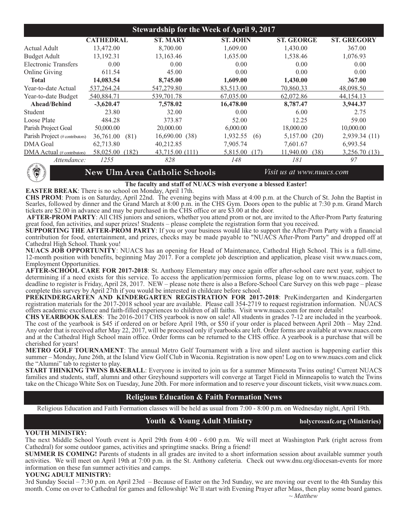| <b>Stewardship for the Week of April 9, 2017</b> |                    |                 |                  |                   |                    |
|--------------------------------------------------|--------------------|-----------------|------------------|-------------------|--------------------|
|                                                  | <b>CATHEDRAL</b>   | <b>ST. MARY</b> | <b>ST. JOHN</b>  | <b>ST. GEORGE</b> | <b>ST. GREGORY</b> |
| Actual Adult                                     | 13,472.00          | 8,700.00        | 1,609.00         | 1,430.00          | 367.00             |
| <b>Budget Adult</b>                              | 13,192.31          | 13,163.46       | 1,635.00         | 1,538.46          | 1,076.93           |
| Electronic Transfers                             | 0.00               | 0.00            | 0.00             | 0.00              | 0.00               |
| <b>Online Giving</b>                             | 611.54             | 45.00           | 0.00             | 0.00              | 0.00               |
| <b>Total</b>                                     | 14,083.54          | 8,745.00        | 1,609.00         | 1,430.00          | 367.00             |
| Year-to-date Actual                              | 537,264.24         | 547,279.80      | 83,513.00        | 70.860.33         | 48,098.50          |
| Year-to-date Budget                              | 540,884.71         | 539,701.78      | 67,035.00        | 62,072.86         | 44, 154. 13        |
| Ahead/Behind                                     | $-3,620.47$        | 7,578.02        | 16,478.00        | 8,787.47          | 3,944.37           |
| Student                                          | 23.80              | 32.00           | 0.00             | 6.00              | 2.75               |
| Loose Plate                                      | 484.28             | 373.87          | 52.00            | 12.25             | 59.00              |
| Parish Project Goal                              | 50,000.00          | 20,000.00       | 6,000.00         | 18,000.00         | 10,000.00          |
| Parish Project (# contributors)                  | 36,761.00<br>(81)  | 16,690.00(38)   | 1,932.55<br>(6)  | 5,157.00<br>(20)  | 2,939.34 (11)      |
| <b>DMA</b> Goal                                  | 62,713.80          | 40,212.85       | 7,905.74         | 7,601.67          | 6,993.54           |
| DMA Actual (# contributors)                      | 58,025.00<br>(182) | 43,715.00 (111) | 5,815.00<br>(17) | 11,940.00<br>(38) | 3,256.70 (13)      |
| Attendance:                                      | 1255               | 828             | 148              | 181               | 97                 |



#### **New Ulm Area Catholic Schools** *Visit us at www.nuacs.com*

#### **The faculty and staff of NUACS wish everyone a blessed Easter!**

**EASTER BREAK**: There is no school on Monday, April 17th.

**CHS PROM**: Prom is on Saturday, April 22nd. The evening begins with Mass at 4:00 p.m. at the Church of St. John the Baptist in Searles, followed by dinner and the Grand March at 8:00 p.m. in the CHS Gym. Doors open to the public at 7:30 p.m. Grand March tickets are \$2.00 in advance and may be purchased in the CHS office or are \$3.00 at the door.

**AFTER-PROM PARTY**: All CHS juniors and seniors, whether you attend prom or not, are invited to the After-Prom Party featuring great food, fun activities, and super prizes! Students – please complete the registration form that you received.

**SUPPORTING THE AFTER-PROM PARTY**: If you or your business would like to support the After-Prom Party with a financial contribution for food, entertainment, and prizes, checks may be made payable to "NUACS After-Prom Party" and dropped off at Cathedral High School. Thank you!

**NUACS JOB OPPORTUNITY**: NUACS has an opening for Head of Maintenance, Cathedral High School. This is a full-time, 12-month position with benefits, beginning May 2017. For a complete job description and application, please visit www.nuacs.com, Employment Opportunities.

**AFTER-SCHOOL CARE FOR 2017-2018**: St. Anthony Elementary may once again offer after-school care next year, subject to determining if a need exists for this service. To access the application/permission forms, please log on to www.nuacs.com. The deadline to register is Friday, April 28, 2017. NEW – please note there is also a Before-School Care Survey on this web page – please complete this survey by April 27th if you would be interested in childcare before school.

**PREKINDERGARTEN AND KINDERGARTEN REGISTRATION FOR 2017-2018**: PreKindergarten and Kindergarten registration materials for the 2017-2018 school year are available. Please call 354-2719 to request registration information. NUACS offers academic excellence and faith-filled experiences to children of all faiths. Visit www.nuacs.com for more details!

**CHS YEARBOOK SALES**: The 2016-2017 CHS yearbook is now on sale! All students in grades 7-12 are included in the yearbook. The cost of the yearbook is \$45 if ordered on or before April 19th, or \$50 if your order is placed between April 20th – May 22nd. Any order that is received after May 22, 2017, will be processed only if yearbooks are left. Order forms are available at www.nuacs.com and at the Cathedral High School main office. Order forms can be returned to the CHS office. A yearbook is a purchase that will be cherished for years!

**METRO GOLF TOURNAMENT**: The annual Metro Golf Tournament with a live and silent auction is happening earlier this summer – Monday, June 26th, at the Island View Golf Club in Waconia. Registration is now open! Log on to www.nuacs.com and click the "Alumni" tab to register to play.

**START THINKING TWINS BASEBALL**: Everyone is invited to join us for a summer Minnesota Twins outing! Current NUACS families and students, staff, alumni and other Greyhound supporters will converge at Target Field in Minneapolis to watch the Twins take on the Chicago White Sox on Tuesday, June 20th. For more information and to reserve your discount tickets, visit www.nuacs.com.

#### **Religious Education & Faith Formation News**

Religious Education and Faith Formation classes will be held as usual from 7:00 - 8:00 p.m. on Wednesday night, April 19th.

#### Youth & Young Adult Ministry **holycrossafc.org (Ministries)**

#### **YOUTH MINISTRY:**

The next Middle School Youth event is April 29th from 4:00 - 6:00 p.m. We will meet at Washington Park (right across from Cathedral) for some outdoor games, activities and springtime snacks. Bring a friend!

**SUMMER IS COMING!** Parents of students in all grades are invited to a short information session about available summer youth activities. We will meet on April 19th at 7:00 p.m. in the St. Anthony cafeteria. Check out www.dnu.org/diocesan-events for more information on these fun summer activities and camps.

#### **YOUNG ADULT MINISTRY:**

3rd Sunday Social – 7:30 p.m. on April 23rd – Because of Easter on the 3rd Sunday, we are moving our event to the 4th Sunday this month. Come on over to Cathedral for games and fellowship! We'll start with Evening Prayer after Mass, then play some board games.